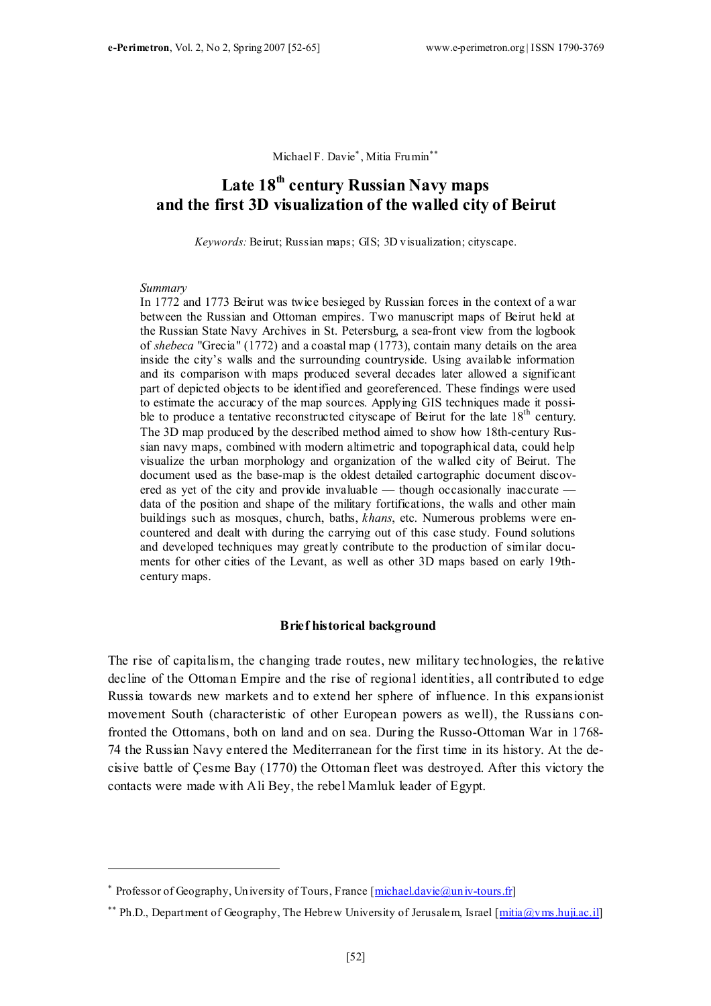Michael F. Davie<sup>\*</sup>, Mitia Frumin<sup>\*\*</sup>

# Late 18<sup>th</sup> century Russian Navy maps and the first 3D visualization of the walled city of Beirut

Keywords: Beirut; Russian maps; GIS; 3D visualization; cityscape.

#### Summary

 $\overline{a}$ 

In 1772 and 1773 Beirut was twice besieged by Russian forces in the context of a war between the Russian and Ottoman empires. Two manuscript maps of Beirut held at the Russian State Navy Archives in St. Petersburg, a sea-front view from the logbook of shebeca "Grecia" (1772) and a coastal map (1773), contain many details on the area inside the city's walls and the surrounding countryside. Using available information and its comparison with maps produced several decades later allowed a significant part of depicted objects to be identified and georeferenced. These findings were used to estimate the accuracy of the map sources. Applying GIS techniques made it possible to produce a tentative reconstructed cityscape of Beirut for the late  $18<sup>th</sup>$  century. The 3D map produced by the described method aimed to show how 18th-century Russian navy maps, combined with modern altimetric and topographical data, could help visualize the urban morphology and organization of the walled city of Beirut. The document used as the base-map is the oldest detailed cartographic document discovered as yet of the city and provide invaluable — though occasionally inaccurate data of the position and shape of the military fortifications, the walls and other main buildings such as mosques, church, baths, khans, etc. Numerous problems were encountered and dealt with during the carrying out of this case study. Found solutions and developed techniques may greatly contribute to the production of similar documents for other cities of the Levant, as well as other 3D maps based on early 19thcentury maps.

#### Brief historical background

The rise of capitalism, the changing trade routes, new military technologies, the relative decline of the Ottoman Empire and the rise of regional identities, all contributed to edge Russia towards new markets and to extend her sphere of influence. In this expansionist movement South (characteristic of other European powers as well), the Russians confronted the Ottomans, both on land and on sea. During the Russo-Ottoman War in 1768- 74 the Russian Navy entered the Mediterranean for the first time in its history. At the decisive battle of Çesme Bay (1770) the Ottoman fleet was destroyed. After this victory the contacts were made with Ali Bey, the rebel Mamluk leader of Egypt.

<sup>∗</sup> Professor of Geography, University of Tours, France [michael.davie@univ-tours.fr]

<sup>&</sup>lt;sup>\*\*</sup> Ph.D., Department of Geography, The Hebrew University of Jerusalem, Israel [mitia@vms.huji.ac.il]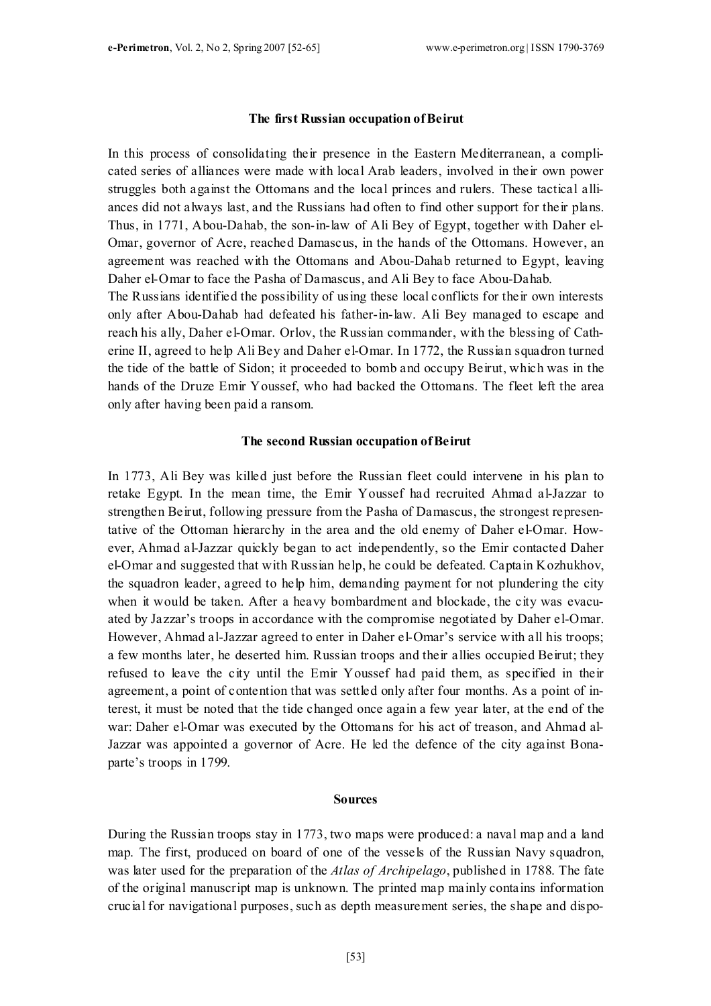#### The first Russian occupation of Beirut

In this process of consolidating their presence in the Eastern Mediterranean, a complicated series of alliances were made with local Arab leaders, involved in their own power struggles both against the Ottomans and the local princes and rulers. These tactical alliances did not always last, and the Russians had often to find other support for their plans. Thus, in 1771, Abou-Dahab, the son-in-law of Ali Bey of Egypt, together with Daher el-Omar, governor of Acre, reached Damascus, in the hands of the Ottomans. However, an agreement was reached with the Ottomans and Abou-Dahab returned to Egypt, leaving Daher el-Omar to face the Pasha of Damascus, and Ali Bey to face Abou-Dahab. The Russians identified the possibility of using these local conflicts for their own interests only after Abou-Dahab had defeated his father-in-law. Ali Bey managed to escape and reach his ally, Daher el-Omar. Orlov, the Russian commander, with the blessing of Cath-

erine II, agreed to help Ali Bey and Daher el-Omar. In 1772, the Russian squadron turned the tide of the battle of Sidon; it proceeded to bomb and occupy Beirut, which was in the hands of the Druze Emir Youssef, who had backed the Ottomans. The fleet left the area only after having been paid a ransom.

#### The second Russian occupation of Beirut

In 1773, Ali Bey was killed just before the Russian fleet could intervene in his plan to retake Egypt. In the mean time, the Emir Youssef had recruited Ahmad al-Jazzar to strengthen Beirut, following pressure from the Pasha of Damascus, the strongest representative of the Ottoman hierarchy in the area and the old enemy of Daher el-Omar. However, Ahmad al-Jazzar quickly began to act independently, so the Emir contacted Daher el-Omar and suggested that with Russian help, he could be defeated. Captain Kozhukhov, the squadron leader, agreed to help him, demanding payment for not plundering the city when it would be taken. After a heavy bombardment and blockade, the city was evacuated by Jazzar's troops in accordance with the compromise negotiated by Daher el-Omar. However, Ahmad al-Jazzar agreed to enter in Daher el-Omar's service with all his troops; a few months later, he deserted him. Russian troops and their allies occupied Beirut; they refused to leave the city until the Emir Youssef had paid them, as specified in their agreement, a point of contention that was settled only after four months. As a point of interest, it must be noted that the tide changed once again a few year later, at the end of the war: Daher el-Omar was executed by the Ottomans for his act of treason, and Ahmad al-Jazzar was appointed a governor of Acre. He led the defence of the city against Bonaparte's troops in 1799.

#### Sources

During the Russian troops stay in 1773, two maps were produced: a naval map and a land map. The first, produced on board of one of the vessels of the Russian Navy squadron, was later used for the preparation of the Atlas of Archipelago, published in 1788. The fate of the original manuscript map is unknown. The printed map mainly contains information crucial for navigational purposes, such as depth measurement series, the shape and dispo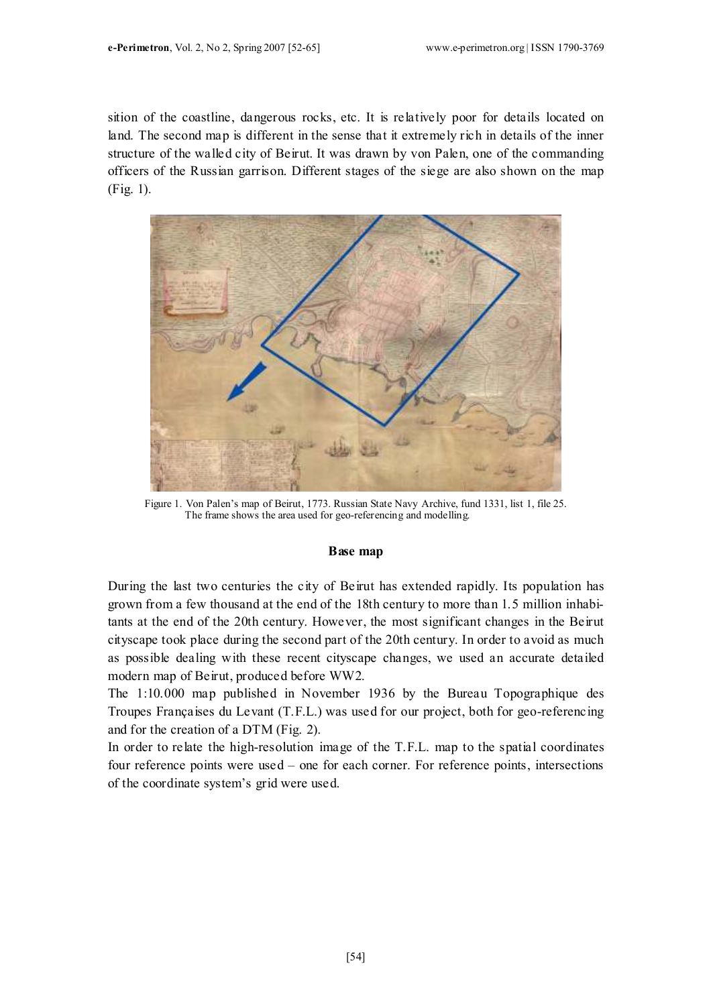sition of the coastline, dangerous rocks, etc. It is relatively poor for details located on land. The second map is different in the sense that it extremely rich in details of the inner structure of the walled city of Beirut. It was drawn by von Palen, one of the commanding officers of the Russian garrison. Different stages of the siege are also shown on the map (Fig. 1).



Figure 1. Von Palen's map of Beirut, 1773. Russian State Navy Archive, fund 1331, list 1, file 25. The frame shows the area used for geo-referencing and modelling.

#### Base map

During the last two centuries the city of Beirut has extended rapidly. Its population has grown from a few thousand at the end of the 18th century to more than 1.5 million inhabitants at the end of the 20th century. However, the most significant changes in the Beirut cityscape took place during the second part of the 20th century. In order to avoid as much as possible dealing with these recent cityscape changes, we used an accurate detailed modern map of Beirut, produced before WW2.

The 1:10.000 map published in November 1936 by the Bureau Topographique des Troupes Françaises du Levant (T.F.L.) was used for our project, both for geo-referencing and for the creation of a DTM (Fig. 2).

In order to relate the high-resolution image of the T.F.L. map to the spatial coordinates four reference points were used – one for each corner. For reference points, intersections of the coordinate system's grid were used.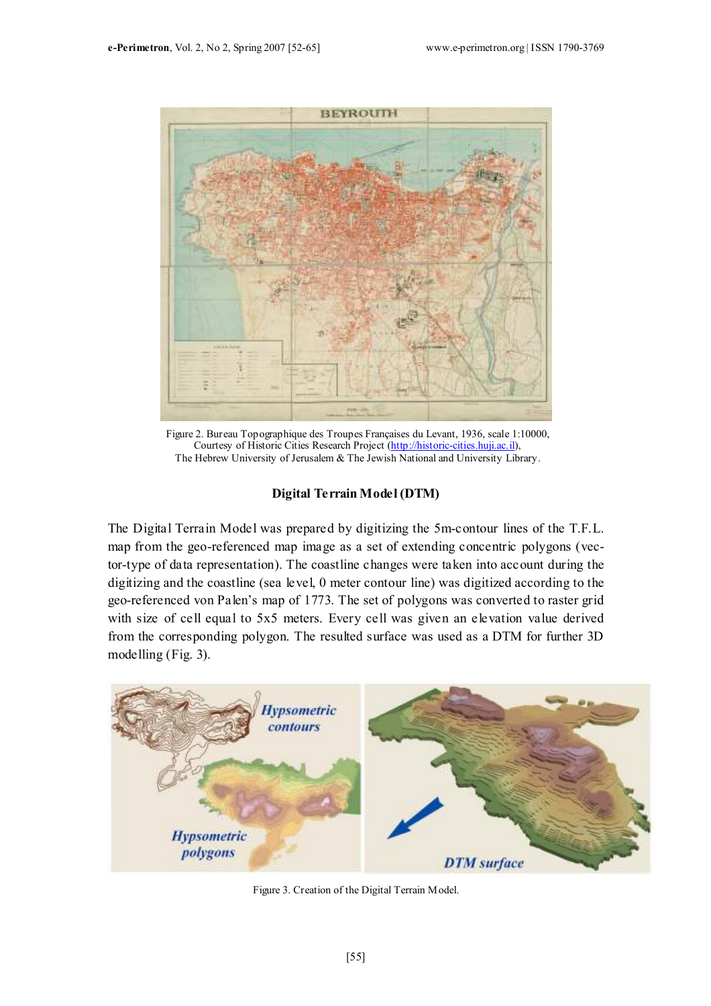

Figure 2. Bureau Topographique des Troupes Françaises du Levant, 1936, scale 1:10000, Courtesy of Historic Cities Research Project (http://historic-cities.huji.ac.il), The Hebrew University of Jerusalem & The Jewish National and University Library.

## Digital Terrain Model (DTM)

The Digital Terrain Model was prepared by digitizing the 5m-contour lines of the T.F.L. map from the geo-referenced map image as a set of extending concentric polygons (vector-type of data representation). The coastline changes were taken into account during the digitizing and the coastline (sea level, 0 meter contour line) was digitized according to the geo-referenced von Palen's map of 1773. The set of polygons was converted to raster grid with size of cell equal to 5x5 meters. Every cell was given an elevation value derived from the corresponding polygon. The resulted surface was used as a DTM for further 3D modelling (Fig. 3).



Figure 3. Creation of the Digital Terrain Model.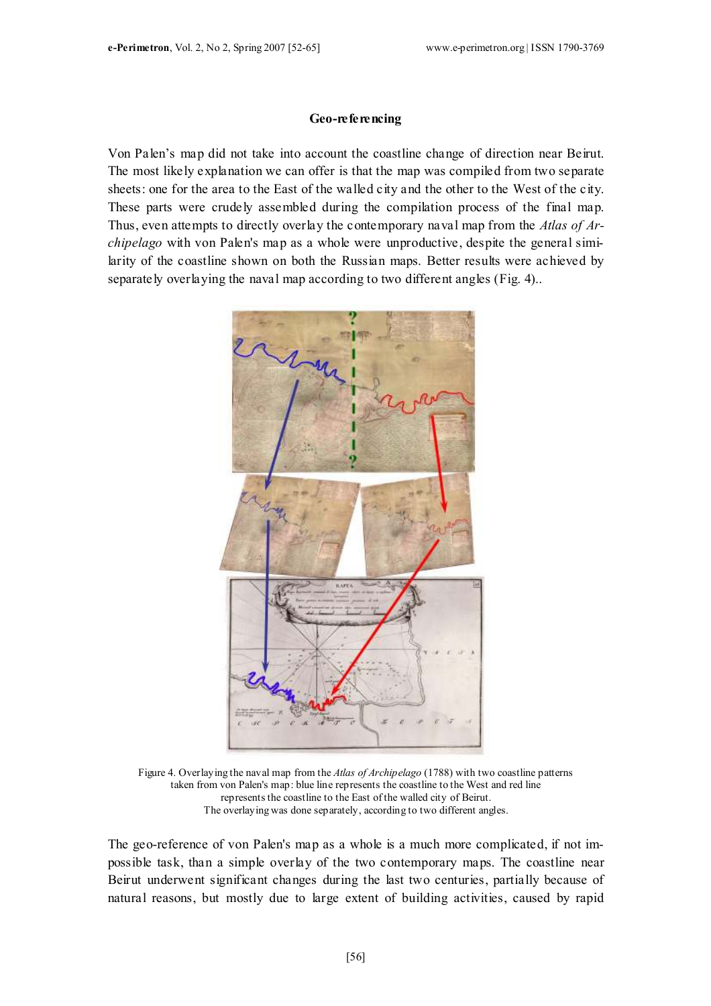#### Geo-referencing

Von Palen's map did not take into account the coastline change of direction near Beirut. The most likely explanation we can offer is that the map was compiled from two separate sheets: one for the area to the East of the walled city and the other to the West of the city. These parts were crudely assembled during the compilation process of the final map. Thus, even attempts to directly overlay the contemporary naval map from the Atlas of Archipelago with von Palen's map as a whole were unproductive, despite the general similarity of the coastline shown on both the Russian maps. Better results were achieved by separately overlaying the naval map according to two different angles (Fig. 4)..



Figure 4. Overlaying the naval map from the Atlas of Archipelago (1788) with two coastline patterns taken from von Palen's map: blue line represents the coastline to the West and red line represents the coastline to the East of the walled city of Beirut. The overlaying was done separately, according to two different angles.

The geo-reference of von Palen's map as a whole is a much more complicated, if not impossible task, than a simple overlay of the two contemporary maps. The coastline near Beirut underwent significant changes during the last two centuries, partially because of natural reasons, but mostly due to large extent of building activities, caused by rapid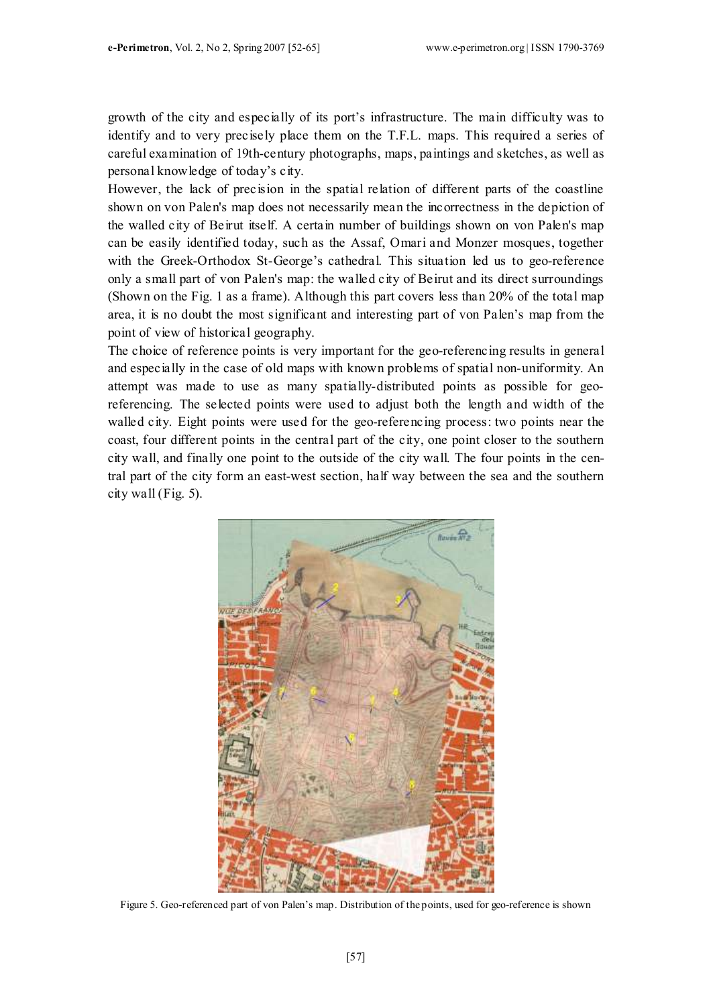growth of the city and especially of its port's infrastructure. The main difficulty was to identify and to very precisely place them on the T.F.L. maps. This required a series of careful examination of 19th-century photographs, maps, paintings and sketches, as well as personal knowledge of today's city.

However, the lack of precision in the spatial relation of different parts of the coastline shown on von Palen's map does not necessarily mean the incorrectness in the depiction of the walled city of Beirut itself. A certain number of buildings shown on von Palen's map can be easily identified today, such as the Assaf, Omari and Monzer mosques, together with the Greek-Orthodox St-George's cathedral. This situation led us to geo-reference only a small part of von Palen's map: the walled city of Beirut and its direct surroundings (Shown on the Fig. 1 as a frame). Although this part covers less than 20% of the total map area, it is no doubt the most significant and interesting part of von Palen's map from the point of view of historical geography.

The choice of reference points is very important for the geo-referencing results in general and especially in the case of old maps with known problems of spatial non-uniformity. An attempt was made to use as many spatially-distributed points as possible for georeferencing. The selected points were used to adjust both the length and width of the walled city. Eight points were used for the geo-referencing process: two points near the coast, four different points in the central part of the city, one point closer to the southern city wall, and finally one point to the outside of the city wall. The four points in the central part of the city form an east-west section, half way between the sea and the southern city wall (Fig. 5).



Figure 5. Geo-referenced part of von Palen's map. Distribution of the points, used for geo-reference is shown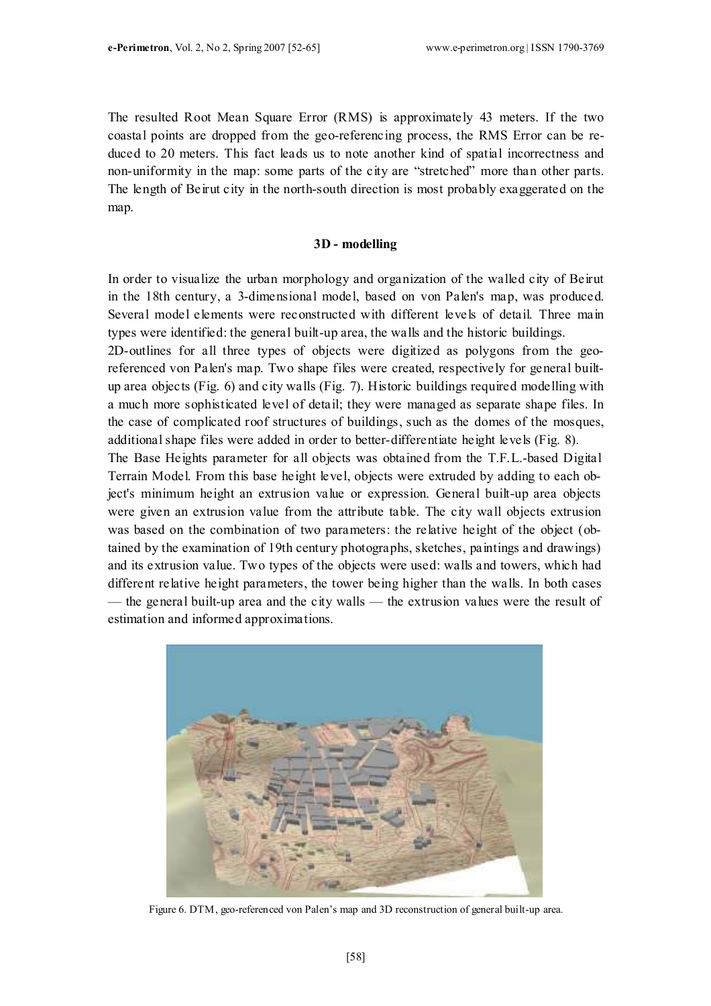The resulted Root Mean Square Error (RMS) is approximately 43 meters. If the two coastal points are dropped from the geo-referencing process, the RMS Error can be reduced to 20 meters. This fact leads us to note another kind of spatial incorrectness and non-uniformity in the map: some parts of the city are "stretched" more than other parts. The length of Beirut city in the north-south direction is most probably exaggerated on the map.

#### 3D - modelling

In order to visualize the urban morphology and organization of the walled city of Beirut in the 18th century, a 3-dimensional model, based on von Palen's map, was produced. Several model elements were reconstructed with different levels of detail. Three main types were identified: the general built-up area, the walls and the historic buildings.

2D-outlines for all three types of objects were digitized as polygons from the georeferenced von Palen's map. Two shape files were created, respectively for general builtup area objects (Fig. 6) and city walls (Fig. 7). Historic buildings required modelling with a much more sophisticated level of detail; they were managed as separate shape files. In the case of complicated roof structures of buildings, such as the domes of the mosques, additional shape files were added in order to better-differentiate height levels (Fig. 8).

The Base Heights parameter for all objects was obtained from the T.F.L.-based Digital Terrain Model. From this base height level, objects were extruded by adding to each object's minimum height an extrusion value or expression. General built-up area objects were given an extrusion value from the attribute table. The city wall objects extrusion was based on the combination of two parameters: the relative height of the object (obtained by the examination of 19th century photographs, sketches, paintings and drawings) and its extrusion value. Two types of the objects were used: walls and towers, which had different relative height parameters, the tower being higher than the walls. In both cases — the general built-up area and the city walls — the extrusion values were the result of estimation and informed approximations.



Figure 6. DTM, geo-referenced von Palen's map and 3D reconstruction of general built-up area.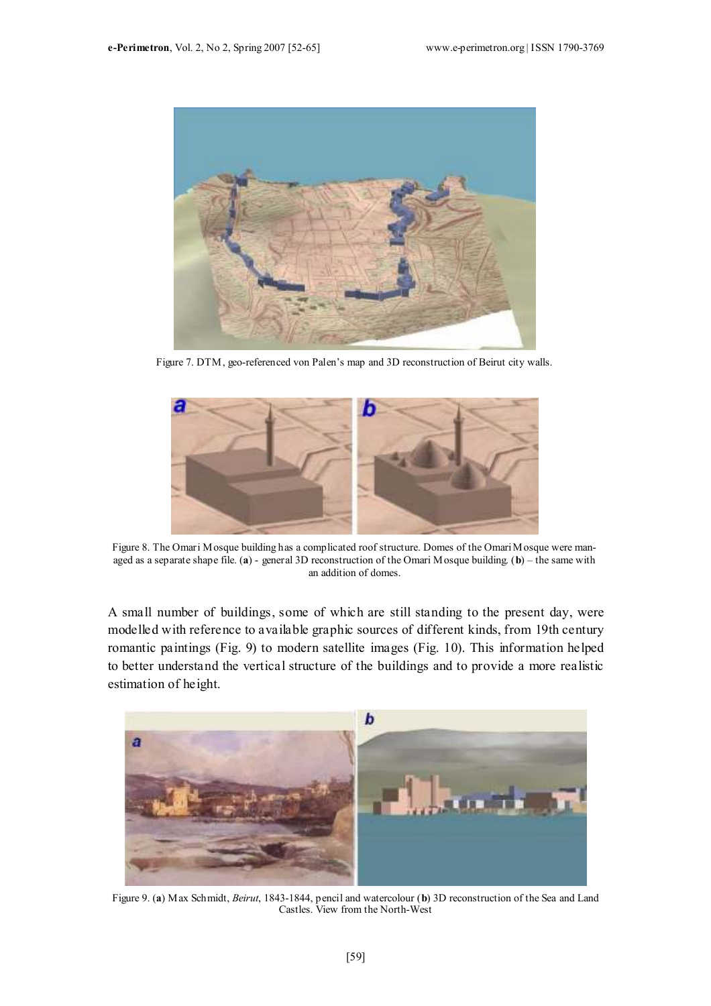

Figure 7. DTM, geo-referenced von Palen's map and 3D reconstruction of Beirut city walls.



Figure 8. The Omari Mosque building has a complicated roof structure. Domes of the Omari Mosque were managed as a separate shape file. (a) - general 3D reconstruction of the Omari Mosque building. (b) – the same with an addition of domes.

A small number of buildings, some of which are still standing to the present day, were modelled with reference to available graphic sources of different kinds, from 19th century romantic paintings (Fig. 9) to modern satellite images (Fig. 10). This information helped to better understand the vertical structure of the buildings and to provide a more realistic estimation of height.



Figure 9. (a) Max Schmidt, Beirut, 1843-1844, pencil and watercolour (b) 3D reconstruction of the Sea and Land Castles. View from the North-West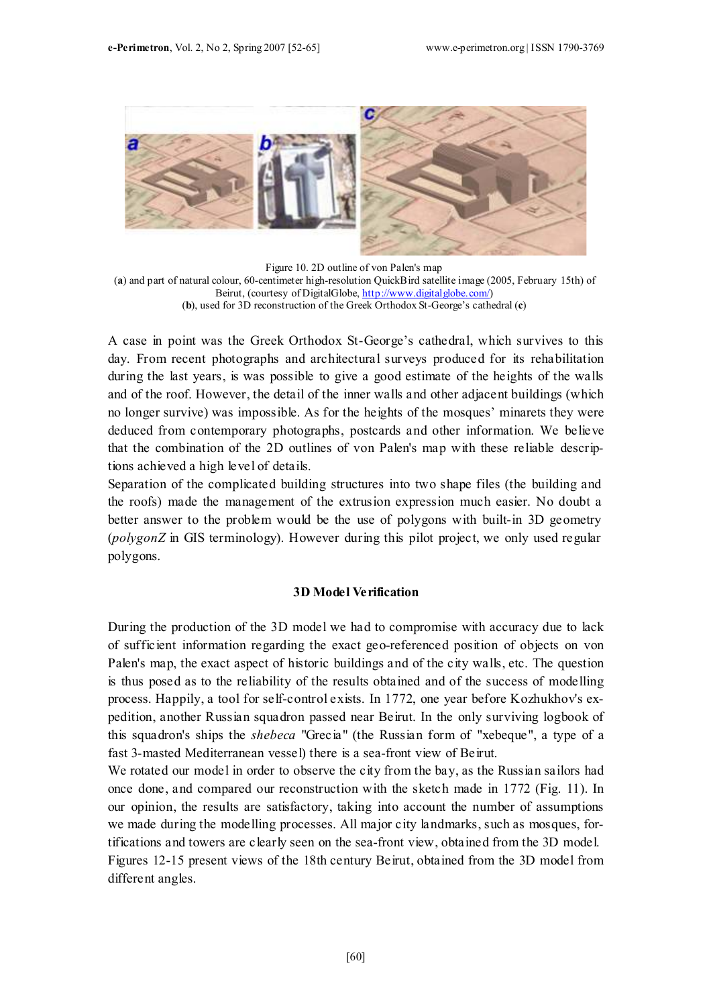

Figure 10. 2D outline of von Palen's map (a) and part of natural colour, 60-centimeter high-resolution QuickBird satellite image (2005, February 15th) of Beirut, (courtesy of DigitalGlobe, http://www.digitalglobe.com/) (b), used for 3D reconstruction of the Greek Orthodox St-George's cathedral (c)

A case in point was the Greek Orthodox St-George's cathedral, which survives to this day. From recent photographs and architectural surveys produced for its rehabilitation during the last years, is was possible to give a good estimate of the heights of the walls and of the roof. However, the detail of the inner walls and other adjacent buildings (which no longer survive) was impossible. As for the heights of the mosques' minarets they were deduced from contemporary photographs, postcards and other information. We believe that the combination of the 2D outlines of von Palen's map with these reliable descriptions achieved a high level of details.

Separation of the complicated building structures into two shape files (the building and the roofs) made the management of the extrusion expression much easier. No doubt a better answer to the problem would be the use of polygons with built-in 3D geometry (polygonZ in GIS terminology). However during this pilot project, we only used regular polygons.

### 3D Model Verification

During the production of the 3D model we had to compromise with accuracy due to lack of sufficient information regarding the exact geo-referenced position of objects on von Palen's map, the exact aspect of historic buildings and of the city walls, etc. The question is thus posed as to the reliability of the results obtained and of the success of modelling process. Happily, a tool for self-control exists. In 1772, one year before Kozhukhov's expedition, another Russian squadron passed near Beirut. In the only surviving logbook of this squadron's ships the shebeca "Grecia" (the Russian form of "xebeque", a type of a fast 3-masted Mediterranean vessel) there is a sea-front view of Beirut.

We rotated our model in order to observe the city from the bay, as the Russian sailors had once done, and compared our reconstruction with the sketch made in 1772 (Fig. 11). In our opinion, the results are satisfactory, taking into account the number of assumptions we made during the modelling processes. All major city landmarks, such as mosques, fortifications and towers are clearly seen on the sea-front view, obtained from the 3D model. Figures 12-15 present views of the 18th century Beirut, obtained from the 3D model from different angles.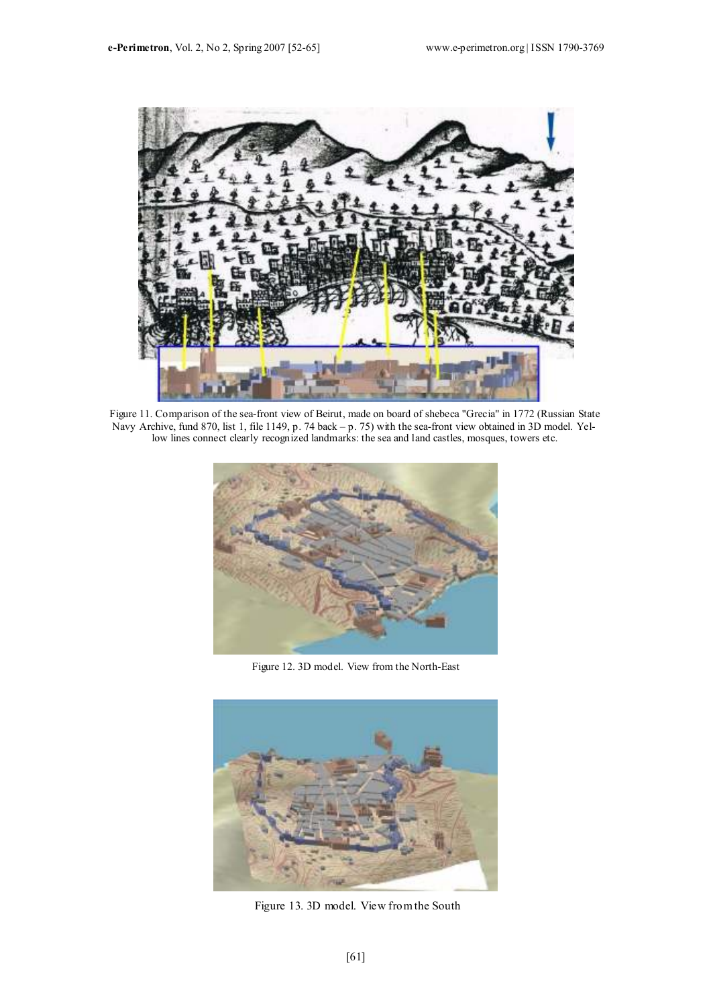

Figure 11. Comparison of the sea-front view of Beirut, made on board of shebeca "Grecia" in 1772 (Russian State Navy Archive, fund 870, list 1, file 1149, p. 74 back – p. 75) with the sea-front view obtained in 3D model. Yellow lines connect clearly recognized landmarks: the sea and land castles, mosques, towers etc.



Figure 12. 3D model. View from the North-East



Figure 13. 3D model. View from the South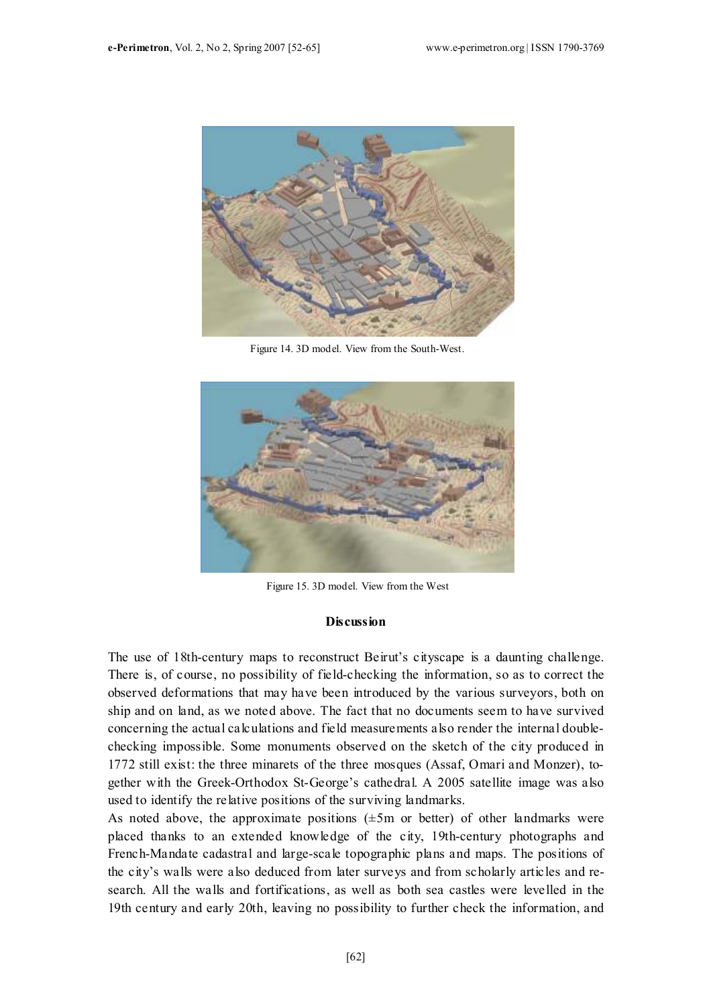

Figure 14. 3D model. View from the South-West.



Figure 15. 3D model. View from the West

#### **Discussion**

The use of 18th-century maps to reconstruct Beirut's cityscape is a daunting challenge. There is, of course, no possibility of field-checking the information, so as to correct the observed deformations that may have been introduced by the various surveyors, both on ship and on land, as we noted above. The fact that no documents seem to have survived concerning the actual calculations and field measurements also render the internal doublechecking impossible. Some monuments observed on the sketch of the city produced in 1772 still exist: the three minarets of the three mosques (Assaf, Omari and Monzer), together with the Greek-Orthodox St-George's cathedral. A 2005 satellite image was also used to identify the relative positions of the surviving landmarks.

As noted above, the approximate positions  $(\pm 5m)$  or better) of other landmarks were placed thanks to an extended knowledge of the city, 19th-century photographs and French-Mandate cadastral and large-scale topographic plans and maps. The positions of the city's walls were also deduced from later surveys and from scholarly articles and research. All the walls and fortifications, as well as both sea castles were levelled in the 19th century and early 20th, leaving no possibility to further check the information, and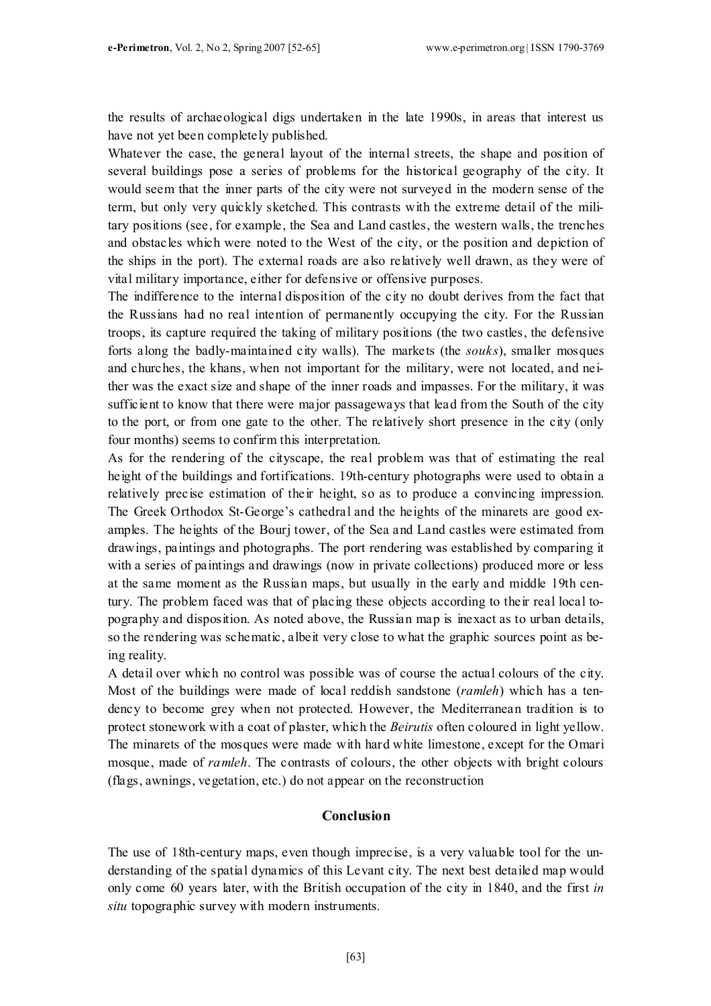the results of archaeological digs undertaken in the late 1990s, in areas that interest us have not yet been completely published.

Whatever the case, the general layout of the internal streets, the shape and position of several buildings pose a series of problems for the historical geography of the city. It would seem that the inner parts of the city were not surveyed in the modern sense of the term, but only very quickly sketched. This contrasts with the extreme detail of the military positions (see, for example, the Sea and Land castles, the western walls, the trenches and obstacles which were noted to the West of the city, or the position and depiction of the ships in the port). The external roads are also relatively well drawn, as they were of vital military importance, either for defensive or offensive purposes.

The indifference to the internal disposition of the city no doubt derives from the fact that the Russians had no real intention of permanently occupying the city. For the Russian troops, its capture required the taking of military positions (the two castles, the defensive forts along the badly-maintained city walls). The markets (the souks), smaller mosques and churches, the khans, when not important for the military, were not located, and neither was the exact size and shape of the inner roads and impasses. For the military, it was sufficient to know that there were major passageways that lead from the South of the city to the port, or from one gate to the other. The relatively short presence in the city (only four months) seems to confirm this interpretation.

As for the rendering of the cityscape, the real problem was that of estimating the real height of the buildings and fortifications. 19th-century photographs were used to obtain a relatively precise estimation of their height, so as to produce a convincing impression. The Greek Orthodox St-George's cathedral and the heights of the minarets are good examples. The heights of the Bourj tower, of the Sea and Land castles were estimated from drawings, paintings and photographs. The port rendering was established by comparing it with a series of paintings and drawings (now in private collections) produced more or less at the same moment as the Russian maps, but usually in the early and middle 19th century. The problem faced was that of placing these objects according to their real local topography and disposition. As noted above, the Russian map is inexact as to urban details, so the rendering was schematic, albeit very close to what the graphic sources point as being reality.

A detail over which no control was possible was of course the actual colours of the city. Most of the buildings were made of local reddish sandstone (*ramleh*) which has a tendency to become grey when not protected. However, the Mediterranean tradition is to protect stonework with a coat of plaster, which the Beirutis often coloured in light yellow. The minarets of the mosques were made with hard white limestone, except for the Omari mosque, made of *ramleh*. The contrasts of colours, the other objects with bright colours (flags, awnings, vegetation, etc.) do not appear on the reconstruction

# Conclusion

The use of 18th-century maps, even though imprecise, is a very valuable tool for the understanding of the spatial dynamics of this Levant city. The next best detailed map would only come 60 years later, with the British occupation of the city in 1840, and the first in situ topographic survey with modern instruments.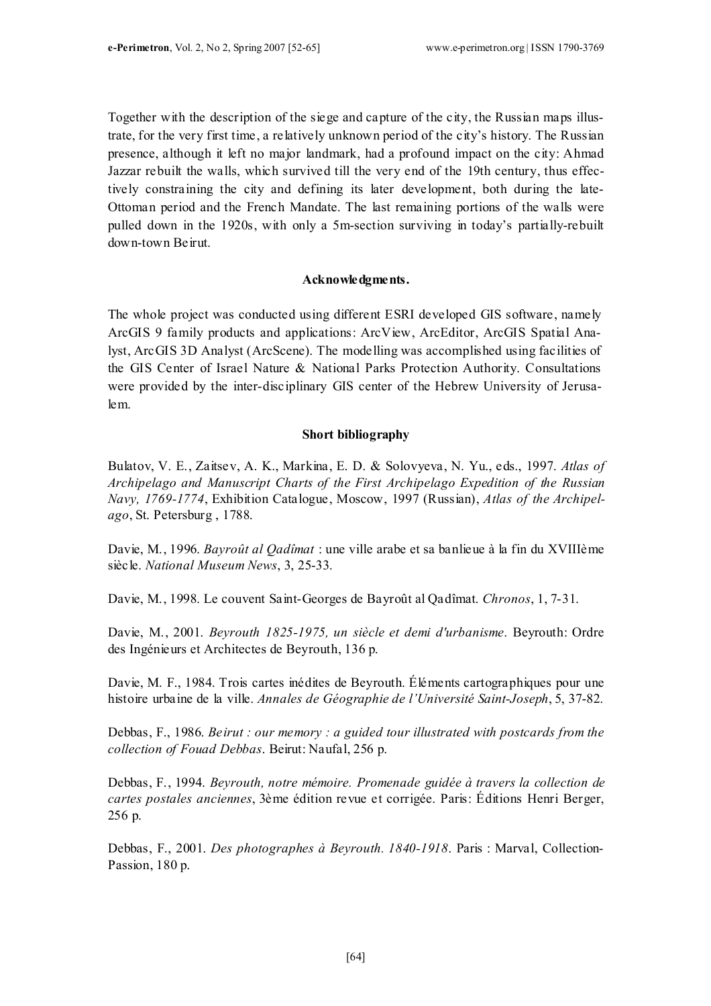Together with the description of the siege and capture of the city, the Russian maps illustrate, for the very first time, a relatively unknown period of the city's history. The Russian presence, although it left no major landmark, had a profound impact on the city: Ahmad Jazzar rebuilt the walls, which survived till the very end of the 19th century, thus effectively constraining the city and defining its later development, both during the late-Ottoman period and the French Mandate. The last remaining portions of the walls were pulled down in the 1920s, with only a 5m-section surviving in today's partially-rebuilt down-town Beirut.

#### Acknowledgments.

The whole project was conducted using different ESRI developed GIS software, namely ArcGIS 9 family products and applications: ArcView, ArcEditor, ArcGIS Spatial Analyst, ArcGIS 3D Analyst (ArcScene). The modelling was accomplished using facilities of the GIS Center of Israel Nature & National Parks Protection Authority. Consultations were provided by the inter-disciplinary GIS center of the Hebrew University of Jerusalem.

#### Short bibliography

Bulatov, V. E., Zaitsev, A. K., Markina, E. D. & Solovyeva, N. Yu., eds., 1997. Atlas of Archipelago and Manuscript Charts of the First Archipelago Expedition of the Russian Navy, 1769-1774, Exhibition Catalogue, Moscow, 1997 (Russian), Atlas of the Archipelago, St. Petersburg , 1788.

Davie, M., 1996. Bayroût al Qadîmat : une ville arabe et sa banlieue à la fin du XVIIIème siècle. National Museum News, 3, 25-33.

Davie, M., 1998. Le couvent Saint-Georges de Bayroût al Qadîmat. Chronos, 1, 7-31.

Davie, M., 2001. Beyrouth 1825-1975, un siècle et demi d'urbanisme. Beyrouth: Ordre des Ingénieurs et Architectes de Beyrouth, 136 p.

Davie, M. F., 1984. Trois cartes inédites de Beyrouth. Éléments cartographiques pour une histoire urbaine de la ville. Annales de Géographie de l'Université Saint-Joseph, 5, 37-82.

Debbas, F., 1986. Beirut : our memory : a guided tour illustrated with postcards from the collection of Fouad Debbas. Beirut: Naufal, 256 p.

Debbas, F., 1994. Beyrouth, notre mémoire. Promenade guidée à travers la collection de cartes postales anciennes, 3ème édition revue et corrigée. Paris: Éditions Henri Berger, 256 p.

Debbas, F., 2001. Des photographes à Beyrouth. 1840-1918. Paris : Marval, Collection-Passion, 180 p.